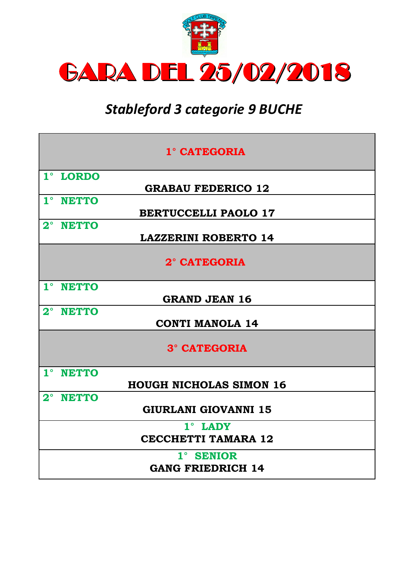

# *Stableford 3 categorie 9 BUCHE*

| 1° CATEGORIA   |              |                                |  |
|----------------|--------------|--------------------------------|--|
|                | 1° LORDO     |                                |  |
|                |              | <b>GRABAU FEDERICO 12</b>      |  |
| $1^{\circ}$    | <b>NETTO</b> |                                |  |
|                |              | <b>BERTUCCELLI PAOLO 17</b>    |  |
|                | 2° NETTO     |                                |  |
|                |              | <b>LAZZERINI ROBERTO 14</b>    |  |
|                |              | 2° CATEGORIA                   |  |
|                | 1° NETTO     |                                |  |
|                |              | <b>GRAND JEAN 16</b>           |  |
|                | 2° NETTO     |                                |  |
|                |              | <b>CONTI MANOLA 14</b>         |  |
|                |              |                                |  |
|                |              | <b>3° CATEGORIA</b>            |  |
| 1 <sup>°</sup> | <b>NETTO</b> |                                |  |
|                |              | <b>HOUGH NICHOLAS SIMON 16</b> |  |
|                | 2° NETTO     |                                |  |
|                |              | <b>GIURLANI GIOVANNI 15</b>    |  |
|                |              |                                |  |
|                |              | $1^\circ$ LADY                 |  |
|                |              | <b>CECCHETTI TAMARA 12</b>     |  |
|                |              | 1° SENIOR                      |  |
|                |              | <b>GANG FRIEDRICH 14</b>       |  |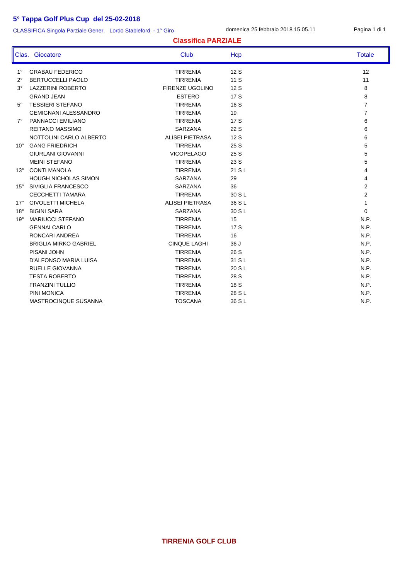CLASSIFICA Singola Parziale Gener. Lordo Stableford - 1° Giro

domenica 25 febbraio 2018 15.05.11 Pagina 1 di 1

#### **Classifica PARZIALE**

|              | Clas. Giocatore              | <b>Club</b>            | Hcp    | <b>Totale</b>  |
|--------------|------------------------------|------------------------|--------|----------------|
| $1^{\circ}$  | <b>GRABAU FEDERICO</b>       | <b>TIRRENIA</b>        | 12S    | 12             |
| $2^{\circ}$  | <b>BERTUCCELLI PAOLO</b>     | <b>TIRRENIA</b>        | 11S    | 11             |
| $3^\circ$    | <b>LAZZERINI ROBERTO</b>     | FIRENZE UGOLINO        | 12S    | 8              |
|              | <b>GRAND JEAN</b>            | <b>ESTERO</b>          | 17S    | 8              |
| $5^\circ$    | <b>TESSIERI STEFANO</b>      | <b>TIRRENIA</b>        | 16 S   | $\overline{7}$ |
|              | <b>GEMIGNANI ALESSANDRO</b>  | <b>TIRRENIA</b>        | 19     | $\overline{7}$ |
| $7^{\circ}$  | PANNACCI EMILIANO            | <b>TIRRENIA</b>        | 17 S   | 6              |
|              | <b>REITANO MASSIMO</b>       | <b>SARZANA</b>         | 22 S   | 6              |
|              | NOTTOLINI CARLO ALBERTO      | <b>ALISEI PIETRASA</b> | 12 S   | 6              |
| $10^{\circ}$ | <b>GANG FRIEDRICH</b>        | <b>TIRRENIA</b>        | 25 S   | 5              |
|              | <b>GIURLANI GIOVANNI</b>     | <b>VICOPELAGO</b>      | 25 S   | 5              |
|              | <b>MEINI STEFANO</b>         | <b>TIRRENIA</b>        | 23 S   | 5              |
| $13^\circ$   | <b>CONTI MANOLA</b>          | <b>TIRRENIA</b>        | 21 S L | 4              |
|              | <b>HOUGH NICHOLAS SIMON</b>  | <b>SARZANA</b>         | 29     | 4              |
| $15^{\circ}$ | SIVIGLIA FRANCESCO           | <b>SARZANA</b>         | 36     | $\overline{2}$ |
|              | <b>CECCHETTI TAMARA</b>      | <b>TIRRENIA</b>        | 30 S L | $\overline{2}$ |
| $17^{\circ}$ | <b>GIVOLETTI MICHELA</b>     | <b>ALISEI PIETRASA</b> | 36 S L | 1              |
| $18^\circ$   | <b>BIGINI SARA</b>           | <b>SARZANA</b>         | 30 S L | $\Omega$       |
| 19°          | <b>MARIUCCI STEFANO</b>      | <b>TIRRENIA</b>        | 15     | N.P.           |
|              | <b>GENNAI CARLO</b>          | <b>TIRRENIA</b>        | 17S    | N.P.           |
|              | RONCARI ANDREA               | <b>TIRRENIA</b>        | 16     | N.P.           |
|              | <b>BRIGLIA MIRKO GABRIEL</b> | <b>CINQUE LAGHI</b>    | 36 J   | N.P.           |
|              | PISANI JOHN                  | <b>TIRRENIA</b>        | 26 S   | N.P.           |
|              | D'ALFONSO MARIA LUISA        | <b>TIRRENIA</b>        | 31 S L | N.P.           |
|              | RUELLE GIOVANNA              | <b>TIRRENIA</b>        | 20 S L | N.P.           |
|              | <b>TESTA ROBERTO</b>         | <b>TIRRENIA</b>        | 28 S   | N.P.           |
|              | <b>FRANZINI TULLIO</b>       | <b>TIRRENIA</b>        | 18 S   | N.P.           |
|              | <b>PINI MONICA</b>           | <b>TIRRENIA</b>        | 28 S L | N.P.           |
|              | <b>MASTROCINQUE SUSANNA</b>  | <b>TOSCANA</b>         | 36 S L | N.P.           |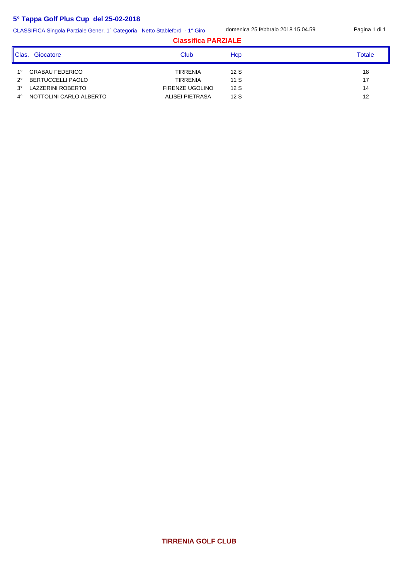CLASSIFICA Singola Parziale Gener. 1° Categoria Netto Stableford - 1° Giro

domenica 25 febbraio 2018 15.04.59 Pagina 1 di 1

#### **Classifica PARZIALE**

| 'Clas.<br>Giocatore                                                                                                                                          | Club                                                                            | Hcp                      | Totale               |
|--------------------------------------------------------------------------------------------------------------------------------------------------------------|---------------------------------------------------------------------------------|--------------------------|----------------------|
| <b>GRABAU FEDERICO</b><br>$1^{\circ}$<br><b>BERTUCCELLI PAOLO</b><br>$2^{\circ}$<br>LAZZERINI ROBERTO<br>$3^\circ$<br>NOTTOLINI CARLO ALBERTO<br>$4^{\circ}$ | <b>TIRRENIA</b><br><b>TIRRENIA</b><br><b>FIRENZE UGOLINO</b><br>ALISEI PIETRASA | 12S<br>11S<br>12S<br>12S | 18<br>17<br>14<br>12 |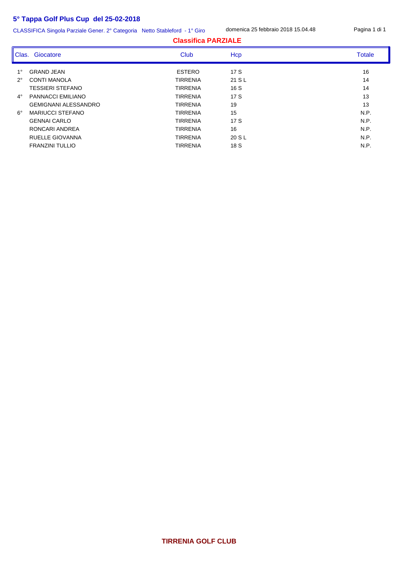CLASSIFICA Singola Parziale Gener. 2° Categoria Netto Stableford - 1° Giro domenica 25 febbraio 2018 15.04.48 Pagina 1 di 1

| <b>Classifica PARZIALE</b>              |                 |        |               |
|-----------------------------------------|-----------------|--------|---------------|
| Clas. Giocatore                         | Club            | Hcp    | <b>Totale</b> |
| <b>GRAND JEAN</b><br>$1^{\circ}$        | <b>ESTERO</b>   | 17S    | 16            |
| <b>CONTI MANOLA</b><br>$2^{\circ}$      | <b>TIRRENIA</b> | 21 S L | 14            |
| <b>TESSIERI STEFANO</b>                 | <b>TIRRENIA</b> | 16 S   | 14            |
| $4^{\circ}$<br><b>PANNACCI EMILIANO</b> | <b>TIRRENIA</b> | 17S    | 13            |
| <b>GEMIGNANI ALESSANDRO</b>             | <b>TIRRENIA</b> | 19     | 13            |
| $6^{\circ}$<br>MARIUCCI STEFANO         | <b>TIRRENIA</b> | 15     | N.P.          |
| <b>GENNAI CARLO</b>                     | <b>TIRRENIA</b> | 17S    | N.P.          |
| RONCARI ANDREA                          | <b>TIRRENIA</b> | 16     | N.P.          |
| RUELLE GIOVANNA                         | <b>TIRRENIA</b> | 20 S L | N.P.          |
| <b>FRANZINI TULLIO</b>                  | <b>TIRRENIA</b> | 18 S   | N.P.          |

#### **TIRRENIA GOLF CLUB**